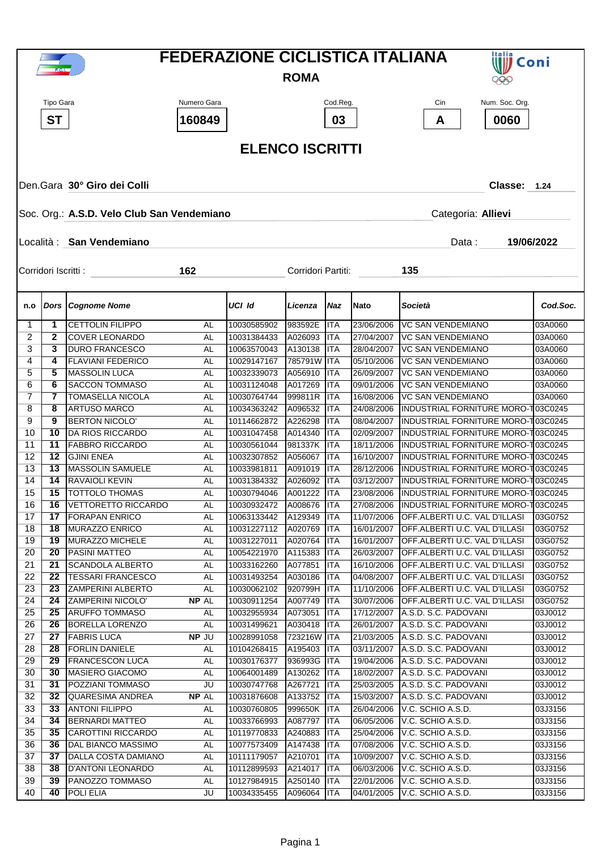| F.C.I.             |                        |                                                     |             |                            | <b>FEDERAZIONE CICLISTICA ITALIANA</b><br>Italia<br>Coni |                          |                          |                                                                     |                    |  |  |  |
|--------------------|------------------------|-----------------------------------------------------|-------------|----------------------------|----------------------------------------------------------|--------------------------|--------------------------|---------------------------------------------------------------------|--------------------|--|--|--|
| <b>ROMA</b><br>999 |                        |                                                     |             |                            |                                                          |                          |                          |                                                                     |                    |  |  |  |
|                    | Tipo Gara              |                                                     | Numero Gara |                            |                                                          | Cod.Reg.                 |                          | Num. Soc. Org.<br>Cin                                               |                    |  |  |  |
|                    |                        |                                                     |             |                            |                                                          |                          |                          |                                                                     |                    |  |  |  |
|                    | <b>ST</b>              |                                                     | 160849      |                            |                                                          | 03                       |                          | 0060<br>A                                                           |                    |  |  |  |
|                    | <b>ELENCO ISCRITTI</b> |                                                     |             |                            |                                                          |                          |                          |                                                                     |                    |  |  |  |
|                    |                        |                                                     |             |                            |                                                          |                          |                          |                                                                     |                    |  |  |  |
|                    |                        |                                                     |             |                            |                                                          |                          |                          |                                                                     |                    |  |  |  |
|                    |                        | Den.Gara 30° Giro dei Colli                         |             |                            |                                                          |                          |                          | Classe: 1.24                                                        |                    |  |  |  |
|                    |                        |                                                     |             |                            |                                                          |                          |                          |                                                                     |                    |  |  |  |
|                    |                        | Soc. Org.: A.S.D. Velo Club San Vendemiano          |             |                            |                                                          |                          |                          | Categoria: Allievi                                                  |                    |  |  |  |
|                    |                        |                                                     |             |                            |                                                          |                          |                          |                                                                     |                    |  |  |  |
|                    |                        | Località : San Vendemiano                           |             |                            |                                                          |                          |                          | Data:                                                               | 19/06/2022         |  |  |  |
|                    | Corridori Iscritti :   |                                                     | 162         |                            | Corridori Partiti:                                       |                          |                          | 135                                                                 |                    |  |  |  |
|                    |                        |                                                     |             |                            |                                                          |                          |                          |                                                                     |                    |  |  |  |
|                    |                        |                                                     |             |                            |                                                          |                          |                          |                                                                     |                    |  |  |  |
| n.o                |                        | <b>Dors Cognome Nome</b>                            |             | UCI Id                     | Licenza                                                  | Naz                      | <b>Nato</b>              | Società                                                             | Cod.Soc.           |  |  |  |
| $\mathbf{1}$       | 1                      | <b>CETTOLIN FILIPPO</b>                             | AL          | 10030585902                | 983592E                                                  | <b>ITA</b>               | 23/06/2006               | <b>VC SAN VENDEMIANO</b>                                            | 03A0060            |  |  |  |
| 2                  | $\mathbf{2}$           | <b>COVER LEONARDO</b>                               | AL          | 10031384433                | A026093                                                  | ITA                      | 27/04/2007               | <b>VC SAN VENDEMIANO</b>                                            | 03A0060            |  |  |  |
| 3<br>4             | 3<br>4                 | <b>DURO FRANCESCO</b><br><b>FLAVIANI FEDERICO</b>   | AL<br>AL    | 10063570043<br>10029147167 | A130138<br>785791W ITA                                   | ITA                      | 28/04/2007<br>05/10/2006 | <b>VC SAN VENDEMIANO</b><br><b>VC SAN VENDEMIANO</b>                | 03A0060<br>03A0060 |  |  |  |
| 5                  | 5                      | <b>MASSOLIN LUCA</b>                                | AL          | 10032339073                | A056910                                                  | ITA                      | 26/09/2007               | <b>VC SAN VENDEMIANO</b>                                            | 03A0060            |  |  |  |
| 6                  | 6                      | <b>SACCON TOMMASO</b>                               | AL          | 10031124048                | A017269                                                  | ITA                      | 09/01/2006               | <b>VC SAN VENDEMIANO</b>                                            | 03A0060            |  |  |  |
| 7                  | 7                      | <b>TOMASELLA NICOLA</b>                             | AL          | 10030764744                | 999811R                                                  | ITA                      | 16/08/2006               | <b>VC SAN VENDEMIANO</b>                                            | 03A0060            |  |  |  |
| 8                  | 8                      | <b>ARTUSO MARCO</b>                                 | AL          | 10034363242                | A096532                                                  | ITA                      | 24/08/2006               | INDUSTRIAL FORNITURE MORO-T03C0245                                  |                    |  |  |  |
| 9                  | 9                      | <b>BERTON NICOLO'</b>                               | AL          | 10114662872                | A226298                                                  | ITA                      | 08/04/2007               | INDUSTRIAL FORNITURE MORO-T03C0245                                  |                    |  |  |  |
| 10                 | 10                     | DA RIOS RICCARDO                                    | AL          | 10031047458                | A014340                                                  | ITA                      | 02/09/2007               | INDUSTRIAL FORNITURE MORO-T03C0245                                  |                    |  |  |  |
| 11                 | 11                     | <b>FABBRO RICCARDO</b>                              | AL          | 10030561044                | 981337K                                                  | ITA                      | 18/11/2006               | INDUSTRIAL FORNITURE MORO-T03C0245                                  |                    |  |  |  |
| 12                 | 12                     | <b>GJINI ENEA</b>                                   | AL          | 10032307852                | A056067                                                  | ITA                      | 16/10/2007               | <b>INDUSTRIAL FORNITURE MORO-103C0245</b>                           |                    |  |  |  |
| 13                 | 13                     | <b>MASSOLIN SAMUELE</b>                             | AL          | 10033981811                | A091019                                                  | <b>ITA</b>               | 28/12/2006               | INDUSTRIAL FORNITURE MORO-103C0245                                  |                    |  |  |  |
| 14                 | 14                     | <b>RAVAIOLI KEVIN</b>                               | AL          | 10031384332                | A026092                                                  | <b>I</b> ITA             | 03/12/2007               | INDUSTRIAL FORNITURE MORO-103C0245                                  |                    |  |  |  |
| 15                 | 15                     | <b>TOTTOLO THOMAS</b>                               | AL          | 10030794046                | A001222 ITA                                              |                          | 23/08/2006               | INDUSTRIAL FORNITURE MORO-T03C0245                                  |                    |  |  |  |
| 16<br>17           | 16<br>17               | <b>VETTORETTO RICCARDO</b><br><b>FORAPAN ENRICO</b> | AL          | 10030932472                | A008676 ITA                                              | <b>ITA</b>               | 27/08/2006               | INDUSTRIAL FORNITURE MORO-103C0245<br>OFF.ALBERTI U.C. VAL D'ILLASI |                    |  |  |  |
| 18                 | 18                     | MURAZZO ENRICO                                      | AL<br>AL    | 10063133442<br>10031227112 | A129349<br>A020769                                       | <b>ITA</b>               | 11/07/2006<br>16/01/2007 | OFF.ALBERTI U.C. VAL D'ILLASI                                       | 03G0752<br>03G0752 |  |  |  |
| 19                 | 19                     | MURAZZO MICHELE                                     | AL          | 10031227011                | A020764                                                  | ITA                      | 16/01/2007               | OFF.ALBERTI U.C. VAL D'ILLASI                                       | 03G0752            |  |  |  |
| 20                 | 20                     | PASINI MATTEO                                       | AL          | 10054221970                | A115383                                                  | ITA                      | 26/03/2007               | OFF.ALBERTI U.C. VAL D'ILLASI                                       | 03G0752            |  |  |  |
| 21                 | 21                     | <b>SCANDOLA ALBERTO</b>                             | AL          | 10033162260                | A077851                                                  | <b>ITA</b>               | 16/10/2006               | OFF.ALBERTI U.C. VAL D'ILLASI                                       | 03G0752            |  |  |  |
| 22                 | 22                     | <b>TESSARI FRANCESCO</b>                            | AL          | 10031493254                | A030186                                                  | <b>ITA</b>               | 04/08/2007               | OFF.ALBERTI U.C. VAL D'ILLASI                                       | 03G0752            |  |  |  |
| 23                 | 23                     | <b>ZAMPERINI ALBERTO</b>                            | AL          | 10030062102                | 920799H                                                  | <b>I</b> ITA             | 11/10/2006               | OFF.ALBERTI U.C. VAL D'ILLASI                                       | 03G0752            |  |  |  |
| 24                 | 24                     | <b>ZAMPERINI NICOLO'</b>                            | NP AL       | 10030911254                | A007749                                                  | ITA                      | 30/07/2006               | OFF.ALBERTI U.C. VAL D'ILLASI                                       | 03G0752            |  |  |  |
| 25                 | 25                     | <b>ARUFFO TOMMASO</b>                               | AL          | 10032955934                | A073051                                                  | ITA                      | 17/12/2007               | A.S.D. S.C. PADOVANI                                                | 03J0012            |  |  |  |
| 26                 | 26                     | <b>BORELLA LORENZO</b>                              | AL          | 10031499621                | A030418                                                  | ITA                      | 26/01/2007               | A.S.D. S.C. PADOVANI                                                | 03J0012            |  |  |  |
| 27                 | 27                     | <b>FABRIS LUCA</b>                                  | NP JU       | 10028991058                | 723216W ITA                                              |                          | 21/03/2005               | A.S.D. S.C. PADOVANI                                                | 03J0012            |  |  |  |
| 28                 | 28                     | <b>FORLIN DANIELE</b>                               | AL          | 10104268415                | A195403                                                  | <b>ITA</b>               | 03/11/2007               | A.S.D. S.C. PADOVANI                                                | 03J0012            |  |  |  |
| 29<br>30           | 29<br>30               | <b>FRANCESCON LUCA</b><br>MASIERO GIACOMO           | AL          | 10030176377<br>10064001489 | 936993G<br>A130262                                       | <b>ITA</b>               | 19/04/2006               | A.S.D. S.C. PADOVANI<br>A.S.D. S.C. PADOVANI                        | 03J0012            |  |  |  |
| 31                 | 31                     | POZZIANI TOMMASO                                    | AL<br>JU    | 10030747768                | A267721                                                  | <b>ITA</b><br><b>ITA</b> | 18/02/2007<br>25/03/2005 | A.S.D. S.C. PADOVANI                                                | 03J0012<br>03J0012 |  |  |  |
| 32                 | 32                     | <b>QUARESIMA ANDREA</b>                             | NP AL       | 10031876608                | A133752                                                  | <b>ITA</b>               | 15/03/2007               | A.S.D. S.C. PADOVANI                                                | 03J0012            |  |  |  |
| 33                 | 33                     | <b>ANTONI FILIPPO</b>                               | AL          | 10030760805                | 999650K                                                  | <b>ITA</b>               | 26/04/2006               | V.C. SCHIO A.S.D.                                                   | 03J3156            |  |  |  |
| 34                 | 34                     | <b>BERNARDI MATTEO</b>                              | AL          | 10033766993                | A087797                                                  | <b>ITA</b>               | 06/05/2006               | V.C. SCHIO A.S.D.                                                   | 03J3156            |  |  |  |
| 35                 | 35                     | <b>CAROTTINI RICCARDO</b>                           | AL          | 10119770833                | A240883                                                  | <b>ITA</b>               | 25/04/2006               | V.C. SCHIO A.S.D.                                                   | 03J3156            |  |  |  |
| 36                 | 36                     | <b>DAL BIANCO MASSIMO</b>                           | AL          | 10077573409                | A147438                                                  | <b>ITA</b>               | 07/08/2006               | V.C. SCHIO A.S.D.                                                   | 03J3156            |  |  |  |
| 37                 | 37                     | DALLA COSTA DAMIANO                                 | AL          | 10111179057                | A210701                                                  | <b>ITA</b>               | 10/09/2007               | V.C. SCHIO A.S.D.                                                   | 03J3156            |  |  |  |
| 38                 | 38                     | <b>D'ANTONI LEONARDO</b>                            | AL          | 10112899593                | A214017                                                  | <b>ITA</b>               | 06/03/2006               | V.C. SCHIO A.S.D.                                                   | 03J3156            |  |  |  |
| 39                 | 39                     | PANOZZO TOMMASO                                     | AL          | 10127984915                | A250140                                                  | <b>ITA</b>               | 22/01/2006               | V.C. SCHIO A.S.D.                                                   | 03J3156            |  |  |  |
| 40                 | 40                     | POLI ELIA                                           | JU          | 10034335455                | A096064                                                  | <b>ITA</b>               | 04/01/2005               | V.C. SCHIO A.S.D.                                                   | 03J3156            |  |  |  |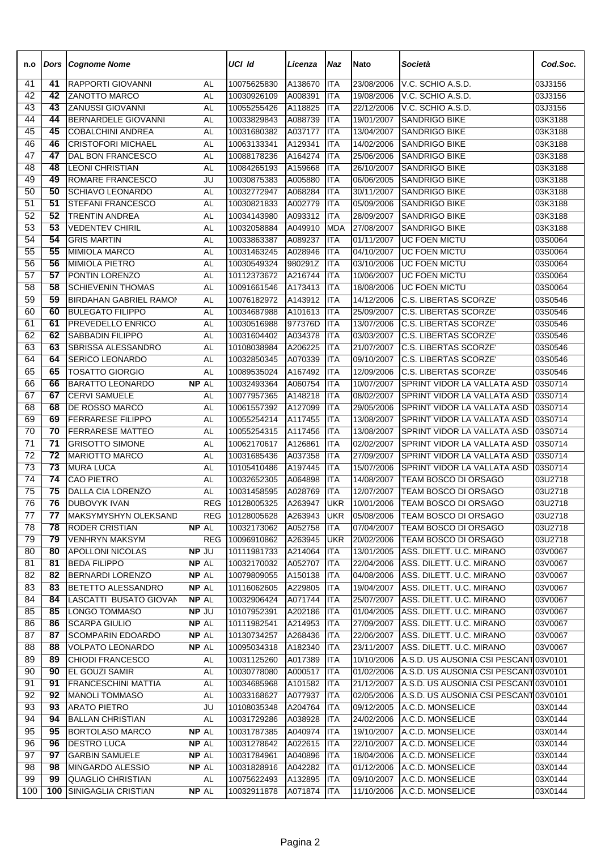| n.o      | Dors            | <b>Cognome Nome</b>                                 |                 | UCI Id                     | Licenza            | Naz                      | <b>Nato</b>              | Società                                                                        | Cod.Soc.           |
|----------|-----------------|-----------------------------------------------------|-----------------|----------------------------|--------------------|--------------------------|--------------------------|--------------------------------------------------------------------------------|--------------------|
| 41       | 41              | RAPPORTI GIOVANNI                                   | AL              | 10075625830                | A138670            | <b>ITA</b>               | 23/08/2006               | V.C. SCHIO A.S.D.                                                              | 03J3156            |
| 42       | 42              | ZANOTTO MARCO                                       | AL              | 10030926109                | A008391            | <b>ITA</b>               | 19/08/2006               | V.C. SCHIO A.S.D.                                                              | 03J3156            |
| 43       | 43              | <b>ZANUSSI GIOVANNI</b>                             | AL              | 10055255426                | A118825            | <b>ITA</b>               | 22/12/2006               | V.C. SCHIO A.S.D.                                                              | 03J3156            |
| 44       | 44              | BERNARDELE GIOVANNI                                 | <b>AL</b>       | 10033829843                | A088739            | <b>ITA</b>               | 19/01/2007               | <b>SANDRIGO BIKE</b>                                                           | 03K3188            |
| 45       | 45              | <b>COBALCHINI ANDREA</b>                            | <b>AL</b>       | 10031680382                | A037177            | <b>ITA</b>               | 13/04/2007               | <b>SANDRIGO BIKE</b>                                                           | 03K3188            |
| 46       | 46              | <b>CRISTOFORI MICHAEL</b>                           | <b>AL</b>       | 10063133341                | A129341            | <b>ITA</b>               | 14/02/2006               | <b>SANDRIGO BIKE</b>                                                           | 03K3188            |
| 47       | 47              | <b>DAL BON FRANCESCO</b>                            | <b>AL</b>       | 10088178236                | A164274            | <b>ITA</b>               | 25/06/2006               | <b>SANDRIGO BIKE</b>                                                           | 03K3188            |
| 48<br>49 | 48<br>49        | <b>LEONI CHRISTIAN</b><br>ROMARE FRANCESCO          | AL<br>JU        | 10084265193<br>10030875383 | A159668<br>A005880 | <b>ITA</b><br><b>ITA</b> | 26/10/2007<br>06/06/2005 | <b>SANDRIGO BIKE</b><br><b>SANDRIGO BIKE</b>                                   | 03K3188<br>03K3188 |
| 50       | 50              | <b>SCHIAVO LEONARDO</b>                             | <b>AL</b>       | 10032772947                | A068284            | <b>ITA</b>               | 30/11/2007               | <b>SANDRIGO BIKE</b>                                                           | 03K3188            |
| 51       | 51              | <b>STEFANI FRANCESCO</b>                            | <b>AL</b>       | 10030821833                | A002779            | <b>ITA</b>               | 05/09/2006               | <b>SANDRIGO BIKE</b>                                                           | 03K3188            |
| 52       | 52              | <b>TRENTIN ANDREA</b>                               | AL              | 10034143980                | A093312            | <b>ITA</b>               | 28/09/2007               | <b>SANDRIGO BIKE</b>                                                           | 03K3188            |
| 53       | 53              | <b>VEDENTEV CHIRIL</b>                              | <b>AL</b>       | 10032058884                | A049910            | <b>MDA</b>               | 27/08/2007               | <b>SANDRIGO BIKE</b>                                                           | 03K3188            |
| 54       | 54              | <b>GRIS MARTIN</b>                                  | AL              | 10033863387                | A089237            | <b>ITA</b>               | 01/11/2007               | <b>UC FOEN MICTU</b>                                                           | 03S0064            |
| 55       | 55              | <b>MIMIOLA MARCO</b>                                | AL              | 10031463245                | A028946            | <b>ITA</b>               | 04/10/2007               | <b>UC FOEN MICTU</b>                                                           | 03S0064            |
| 56       | 56              | <b>MIMIOLA PIETRO</b>                               | AL              | 10030549324                | 980291Z            | <b>ITA</b>               | 03/10/2006               | <b>UC FOEN MICTU</b>                                                           | 03S0064            |
| 57       | $\overline{57}$ | PONTIN LORENZO                                      | AL              | 10112373672                | A216744            | <b>ITA</b>               | 10/06/2007               | <b>UC FOEN MICTU</b>                                                           | 03S0064            |
| 58       | 58              | <b>SCHIEVENIN THOMAS</b>                            | AL              | 10091661546                | A173413            | <b>ITA</b>               | 18/08/2006               | <b>UC FOEN MICTU</b>                                                           | 03S0064            |
| 59       | 59              | <b>BIRDAHAN GABRIEL RAMON</b>                       | AL              | 10076182972                | A143912            | <b>ITA</b>               | 14/12/2006               | C.S. LIBERTAS SCORZE'                                                          | 03S0546            |
| 60       | 60              | <b>BULEGATO FILIPPO</b>                             | AL              | 10034687988                | A101613            | <b>ITA</b>               | 25/09/2007               | C.S. LIBERTAS SCORZE'                                                          | 03S0546            |
| 61       | 61              | PREVEDELLO ENRICO                                   | AL              | 10030516988                | 977376D            | <b>ITA</b>               | 13/07/2006               | C.S. LIBERTAS SCORZE'                                                          | 03S0546            |
| 62       | 62              | <b>SABBADIN FILIPPO</b>                             | AL              | 10031604402                | A034378            | <b>ITA</b>               | 03/03/2007               | C.S. LIBERTAS SCORZE'                                                          | 03S0546            |
| 63       | 63              | SBRISSA ALESSANDRO                                  | AL              | 10108038984                | A206225            | <b>ITA</b>               | 21/07/2007               | C.S. LIBERTAS SCORZE'                                                          | 03S0546            |
| 64       | 64              | <b>SERICO LEONARDO</b>                              | <b>AL</b>       | 10032850345                | A070339            | <b>ITA</b>               | 09/10/2007               | C.S. LIBERTAS SCORZE'                                                          | 03S0546            |
| 65       | 65              | <b>TOSATTO GIORGIO</b>                              | <b>AL</b>       | 10089535024                | A167492            | <b>ITA</b>               | 12/09/2006               | C.S. LIBERTAS SCORZE'                                                          | 03S0546            |
| 66       | 66              | <b>BARATTO LEONARDO</b>                             | NP AL           | 10032493364                | A060754            | <b>ITA</b>               | 10/07/2007               | SPRINT VIDOR LA VALLATA ASD                                                    | 03S0714            |
| 67       | 67              | <b>CERVI SAMUELE</b>                                | AL              | 10077957365                | A148218            | <b>ITA</b>               | 08/02/2007               | SPRINT VIDOR LA VALLATA ASD                                                    | 03S0714            |
| 68<br>69 | 68<br>69        | DE ROSSO MARCO                                      | AL              | 10061557392                | A127099            | <b>ITA</b>               | 29/05/2006               | SPRINT VIDOR LA VALLATA ASD                                                    | 03S0714            |
| 70       | 70              | <b>FERRARESE FILIPPO</b><br><b>FERRARESE MATTEO</b> | AL<br>AL        | 10055254214<br>10055254315 | A117455<br>A117456 | <b>ITA</b><br><b>ITA</b> | 13/08/2007<br>13/08/2007 | SPRINT VIDOR LA VALLATA ASD<br>SPRINT VIDOR LA VALLATA ASD                     | 03S0714<br>03S0714 |
| 71       | 71              | <b>GRISOTTO SIMONE</b>                              | AL              | 10062170617                | A126861            | <b>ITA</b>               | 02/02/2007               | SPRINT VIDOR LA VALLATA ASD                                                    | 03S0714            |
| 72       | 72              | <b>MARIOTTO MARCO</b>                               | AL              | 10031685436                | A037358            | <b>ITA</b>               | 27/09/2007               | SPRINT VIDOR LA VALLATA ASD                                                    | 03S0714            |
| 73       | $\overline{73}$ | <b>MURA LUCA</b>                                    | AL              | 10105410486                | A197445            | <b>ITA</b>               | 15/07/2006               | SPRINT VIDOR LA VALLATA ASD                                                    | 03S0714            |
| 74       | 74              | CAO PIETRO                                          | AL              | 10032652305                | A064898            | <b>ITA</b>               | 14/08/2007               | TEAM BOSCO DI ORSAGO                                                           | 03U2718            |
| 75       | 75              | DALLA CIA LORENZO                                   | <b>AL</b>       | 10031458595                | A028769            | <b>ITA</b>               | 12/07/2007               | TEAM BOSCO DI ORSAGO                                                           | 03U2718            |
| 76       | 76              | DUBOVYK IVAN                                        |                 | REG 10128005325            | A263947            | <b>UKR</b>               | 10/01/2006               | TEAM BOSCO DI ORSAGO                                                           | 03U2718            |
| 77       | 77              | MAKSYMYSHYN OLEKSAND                                | <b>REG</b>      | 10128005628                | A263943            | <b>IUKR</b>              | 05/08/2006               | TEAM BOSCO DI ORSAGO                                                           | 03U2718            |
| 78       | 78              | RODER CRISTIAN                                      | NP AL           | 10032173062                | A052758            | <b>ITA</b>               | 07/04/2007               | TEAM BOSCO DI ORSAGO                                                           | 03U2718            |
| 79       | 79              | <b>VENHRYN MAKSYM</b>                               | <b>REG</b>      | 10096910862                | A263945            | <b>UKR</b>               | 20/02/2006               | TEAM BOSCO DI ORSAGO                                                           | 03U2718            |
| 80       | 80              | <b>APOLLONI NICOLAS</b>                             | NP JU           | 10111981733                | A214064            | <b>ITA</b>               | 13/01/2005               | ASS. DILETT. U.C. MIRANO                                                       | 03V0067            |
| 81       | 81              | <b>BEDA FILIPPO</b>                                 | NP AL           | 10032170032                | A052707            | <b>ITA</b>               | 22/04/2006               | ASS. DILETT. U.C. MIRANO                                                       | 03V0067            |
| 82       | 82              | <b>BERNARDI LORENZO</b>                             | NP AL           | 10079809055                | A150138            | <b>ITA</b>               | 04/08/2006               | ASS. DILETT. U.C. MIRANO                                                       | 03V0067            |
| 83       | 83              | BETETTO ALESSANDRO                                  | NP AL           | 10116062605                | A229805            | <b>ITA</b>               | 19/04/2007               | ASS. DILETT. U.C. MIRANO                                                       | 03V0067            |
| 84       | 84              | LASCATTI BUSATO GIOVAN                              | NP AL           | 10032906424                | A071744            | <b>ITA</b>               | 25/07/2007               | ASS. DILETT. U.C. MIRANO                                                       | 03V0067            |
| 85       | 85              | LONGO TOMMASO                                       | NP JU           | 10107952391                | A202186            | <b>ITA</b>               | 01/04/2005               | ASS. DILETT. U.C. MIRANO                                                       | 03V0067            |
| 86       | 86              | <b>SCARPA GIULIO</b>                                | NP AL           | 10111982541                | A214953            | <b>ITA</b>               | 27/09/2007               | ASS. DILETT. U.C. MIRANO                                                       | 03V0067            |
| 87       | 87              | <b>SCOMPARIN EDOARDO</b>                            | NP AL           | 10130734257                | A268436            | <b>ITA</b>               | 22/06/2007               | ASS. DILETT. U.C. MIRANO                                                       | 03V0067            |
| 88       | 88              | <b>VOLPATO LEONARDO</b>                             | NP AL           | 10095034318                | A182340            | <b>ITA</b>               | 23/11/2007               | ASS. DILETT. U.C. MIRANO                                                       | 03V0067            |
| 89       | 89              | CHIODI FRANCESCO                                    | AL              | 10031125260                | A017389            | <b>ITA</b>               | 10/10/2006               | A.S.D. US AUSONIA CSI PESCANT 03V0101                                          |                    |
| 90<br>91 | 90<br>91        | EL GOUZI SAMIR<br><b>FRANCESCHINI MATTIA</b>        | AL<br><b>AL</b> | 10030778080<br>10034685968 | A000517<br>A101582 | <b>ITA</b><br><b>ITA</b> | 01/02/2006<br>21/12/2007 | A.S.D. US AUSONIA CSI PESCANT 03V0101<br>A.S.D. US AUSONIA CSI PESCANT 03V0101 |                    |
| 92       | 92              | <b>MANOLI TOMMASO</b>                               | AL              | 10033168627                | A077937            | <b>ITA</b>               | 02/05/2006               | A.S.D. US AUSONIA CSI PESCANT 03V0101                                          |                    |
| 93       | 93              | <b>ARATO PIETRO</b>                                 | JU              | 10108035348                | A204764            | <b>ITA</b>               | 09/12/2005               | A.C.D. MONSELICE                                                               | 03X0144            |
| 94       | 94              | <b>BALLAN CHRISTIAN</b>                             | <b>AL</b>       | 10031729286                | A038928            | <b>ITA</b>               | 24/02/2006               | A.C.D. MONSELICE                                                               | 03X0144            |
| 95       | 95              | <b>BORTOLASO MARCO</b>                              | NP AL           | 10031787385                | A040974            | <b>ITA</b>               | 19/10/2007               | A.C.D. MONSELICE                                                               | 03X0144            |
| 96       | 96              | <b>DESTRO LUCA</b>                                  | NP AL           | 10031278642                | A022615            | <b>ITA</b>               | 22/10/2007               | A.C.D. MONSELICE                                                               | 03X0144            |
| 97       | 97              | <b>GARBIN SAMUELE</b>                               | NP AL           | 10031784961                | A040896            | <b>ITA</b>               | 18/04/2006               | A.C.D. MONSELICE                                                               | 03X0144            |
| 98       | 98              | MINGARDO ALESSIO                                    | NP AL           | 10031828916                | A042282            | <b>ITA</b>               | 01/12/2006               | A.C.D. MONSELICE                                                               | 03X0144            |
| 99       | 99              | QUAGLIO CHRISTIAN                                   | AL              | 10075622493                | A132895            | <b>ITA</b>               | 09/10/2007               | A.C.D. MONSELICE                                                               | 03X0144            |
| 100      | 100             | SINIGAGLIA CRISTIAN                                 | NP AL           | 10032911878                | A071874            | <b>ITA</b>               | 11/10/2006               | A.C.D. MONSELICE                                                               | 03X0144            |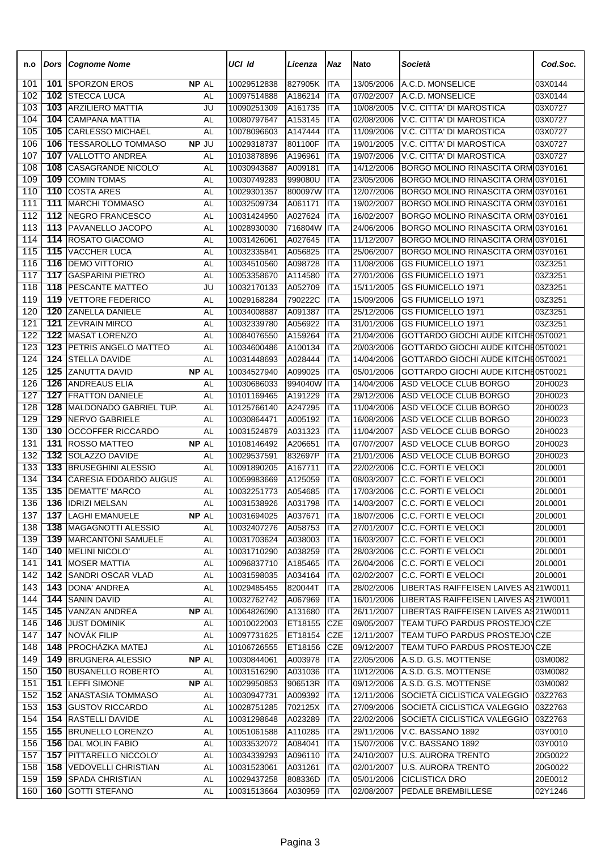| n.o        | <b>Dors</b>      | <b>Cognome Nome</b>                            |                 | UCI Id                     | Licenza            | Naz                      | <b>Nato</b>              | Società                                                                  | Cod.Soc.           |
|------------|------------------|------------------------------------------------|-----------------|----------------------------|--------------------|--------------------------|--------------------------|--------------------------------------------------------------------------|--------------------|
| 101        | 101              | <b>SPORZON EROS</b>                            | <b>NP AL</b>    | 10029512838                | 827905K            | <b>ITA</b>               | 13/05/2006               | A.C.D. MONSELICE                                                         | 03X0144            |
| 102        | 102              | <b>STECCA LUCA</b>                             | AL              | 10097514888                | A186214            | <b>ITA</b>               | 07/02/2007               | A.C.D. MONSELICE                                                         | 03X0144            |
| 103        | 103              | <b>ARZILIERO MATTIA</b>                        | JU              | 10090251309                | A161735            | <b>ITA</b>               | 10/08/2005               | V.C. CITTA' DI MAROSTICA                                                 | 03X0727            |
| 104        | 104              | <b>CAMPANA MATTIA</b>                          | AL              | 10080797647                | A153145            | <b>ITA</b>               | 02/08/2006               | V.C. CITTA' DI MAROSTICA                                                 | 03X0727            |
| 105        | 105              | <b>CARLESSO MICHAEL</b>                        | <b>AL</b>       | 10078096603                | A147444            | <b>ITA</b>               | 11/09/2006               | V.C. CITTA' DI MAROSTICA                                                 | 03X0727            |
| 106        | 106              | <b>TESSAROLLO TOMMASO</b>                      | NP JU           | 10029318737                | 801100F            | <b>ITA</b>               | 19/01/2005               | V.C. CITTA' DI MAROSTICA                                                 | 03X0727            |
| 107        | 107              | <b>VALLOTTO ANDREA</b>                         | AL              | 10103878896                | A196961            | <b>ITA</b>               | 19/07/2006               | V.C. CITTA' DI MAROSTICA                                                 | 03X0727            |
| 108        | 108              | <b>CASAGRANDE NICOLO</b><br><b>COMIN TOMAS</b> | <b>AL</b>       | 10030943687                | A009181            | <b>ITA</b>               | 14/12/2006               | BORGO MOLINO RINASCITA ORM 03Y0161                                       |                    |
| 109<br>110 | 109<br>110       | <b>COSTA ARES</b>                              | AL<br><b>AL</b> | 10030749283<br>10029301357 | 999080U<br>800097W | <b>ITA</b><br><b>ITA</b> | 23/05/2006<br>12/07/2006 | BORGO MOLINO RINASCITA ORM 03Y0161<br>BORGO MOLINO RINASCITA ORM 03Y0161 |                    |
| 111        | 111              | <b>MARCHI TOMMASO</b>                          | AL              | 10032509734                | A061171            | <b>ITA</b>               | 19/02/2007               | BORGO MOLINO RINASCITA ORM 03Y0161                                       |                    |
| 112        | 112              | <b>NEGRO FRANCESCO</b>                         | AL              | 10031424950                | A027624            | <b>ITA</b>               | 16/02/2007               | BORGO MOLINO RINASCITA ORM 03Y0161                                       |                    |
| 113        | 113              | PAVANELLO JACOPO                               | AL              | 10028930030                | 716804W            | <b>ITA</b>               | 24/06/2006               | BORGO MOLINO RINASCITA ORM 03Y0161                                       |                    |
| 114        | 114              | ROSATO GIACOMO                                 | AL              | 10031426061                | A027645            | <b>ITA</b>               | 11/12/2007               | BORGO MOLINO RINASCITA ORM 03Y0161                                       |                    |
| 115        | 115              | <b>VACCHER LUCA</b>                            | AL              | 10032335841                | A056825            | <b>ITA</b>               | 25/06/2007               | BORGO MOLINO RINASCITA ORM 03Y0161                                       |                    |
| 116        | 116              | <b>DEMO VITTORIO</b>                           | AL              | 10034510560                | A098728            | ITA                      | 11/08/2006               | <b>GS FIUMICELLO 1971</b>                                                | 03Z3251            |
| 117        | $\overline{117}$ | <b>GASPARINI PIETRO</b>                        | AL              | 10053358670                | A114580            | <b>ITA</b>               | 27/01/2006               | GS FIUMICELLO 1971                                                       | 03Z3251            |
| 118        | 118              | PESCANTE MATTEO                                | JU              | 10032170133                | A052709            | <b>ITA</b>               | 15/11/2005               | GS FIUMICELLO 1971                                                       | 03Z3251            |
| 119        | 119              | <b>VETTORE FEDERICO</b>                        | AL              | 10029168284                | 790222C            | <b>ITA</b>               | 15/09/2006               | GS FIUMICELLO 1971                                                       | 03Z3251            |
| 120        | 120              | ZANELLA DANIELE                                | AL              | 10034008887                | A091387            | <b>ITA</b>               | 25/12/2006               | GS FIUMICELLO 1971                                                       | 03Z3251            |
| 121        | 121              | <b>ZEVRAIN MIRCO</b>                           | AL              | 10032339780                | A056922            | <b>ITA</b>               | 31/01/2006               | <b>GS FIUMICELLO 1971</b>                                                | 03Z3251            |
| 122        | 122              | <b>MASAT LORENZO</b>                           | <b>AL</b>       | 10084076550                | A159264            | <b>ITA</b>               | 21/04/2006               | GOTTARDO GIOCHI AUDE KITCHE05T0021                                       |                    |
| 123        | 123              | PETRIS ANGELO MATTEO                           | AL              | 10034600486                | A100134            | <b>ITA</b>               | 20/03/2006               | GOTTARDO GIOCHI AUDE KITCHE05T0021                                       |                    |
| 124        | 124              | <b>STELLA DAVIDE</b>                           | AL              | 10031448693                | A028444            | <b>ITA</b>               | 14/04/2006               | GOTTARDO GIOCHI AUDE KITCHE05T0021                                       |                    |
| 125        | 125              | ZANUTTA DAVID                                  | NP AL           | 10034527940                | A099025            | <b>ITA</b>               | 05/01/2006               | GOTTARDO GIOCHI AUDE KITCHE05T0021                                       |                    |
| 126        | 126              | <b>ANDREAUS ELIA</b>                           | AL              | 10030686033                | 994040W            | <b>ITA</b>               | 14/04/2006               | ASD VELOCE CLUB BORGO                                                    | 20H0023            |
| 127        | 127              | <b>FRATTON DANIELE</b>                         | AL              | 10101169465                | A191229            | <b>ITA</b>               | 29/12/2006               | ASD VELOCE CLUB BORGO                                                    | 20H0023            |
| 128        | 128              | <b>MALDONADO GABRIEL TUP.</b>                  | AL              | 10125766140                | A247295            | <b>ITA</b>               | 11/04/2006               | ASD VELOCE CLUB BORGO                                                    | 20H0023            |
| 129        | 129              | <b>NERVO GABRIELE</b>                          | AL              | 10030864471                | A005192            | <b>ITA</b>               | 16/08/2006               | ASD VELOCE CLUB BORGO                                                    | 20H0023            |
| 130        | 130<br>131       | OCCOFFER RICCARDO                              | <b>AL</b>       | 10031524879                | A031323            | ITA                      | 11/04/2007               | ASD VELOCE CLUB BORGO<br>ASD VELOCE CLUB BORGO                           | 20H0023            |
| 131<br>132 | 132              | <b>ROSSO MATTEO</b><br>SOLAZZO DAVIDE          | NP AL           | 10108146492<br>10029537591 | A206651<br>832697P | <b>ITA</b><br><b>ITA</b> | 07/07/2007<br>21/01/2006 | ASD VELOCE CLUB BORGO                                                    | 20H0023<br>20H0023 |
| 133        | 133              | <b>BRUSEGHINI ALESSIO</b>                      | AL<br>AL        | 10091890205                | A167711            | <b>ITA</b>               | 22/02/2006               | C.C. FORTI E VELOCI                                                      | 20L0001            |
| 134        | 134              | <b>CARESIA EDOARDO AUGUS</b>                   | AL              | 10059983669                | A125059            | <b>ITA</b>               | 08/03/2007               | C.C. FORTI E VELOCI                                                      | 20L0001            |
| 135        | 135              | <b>DEMATTE' MARCO</b>                          | AL              | 10032251773                | A054685            | <b>ITA</b>               | 17/03/2006               | C.C. FORTI E VELOCI                                                      | 20L0001            |
| 136        |                  | 136 IDRIZI MELSAN                              | AL              | 10031538926                | A031798 ITA        |                          | 14/03/2007               | <b>C.C. FORTI E VELOCI</b>                                               | 20L0001            |
| 137        | 137              | LAGHI EMANUELE                                 | NP AL           | 10031694025                | A037671            | <b>ITA</b>               | 18/07/2006               | <b>C.C. FORTI E VELOCI</b>                                               | 20L0001            |
| 138        | 138              | MAGAGNOTTI ALESSIO                             | AL              | 10032407276                | A058753            | <b>ITA</b>               | 27/01/2007               | C.C. FORTI E VELOCI                                                      | 20L0001            |
| 139        | 139              | <b>MARCANTONI SAMUELE</b>                      | AL              | 10031703624                | A038003            | <b>ITA</b>               | 16/03/2007               | C.C. FORTI E VELOCI                                                      | 20L0001            |
| 140        | 140              | MELINI NICOLO'                                 | AL              | 10031710290                | A038259            | ITA                      | 28/03/2006               | C.C. FORTI E VELOCI                                                      | 20L0001            |
| 141        | 141              | <b>MOSER MATTIA</b>                            | AL              | 10096837710                | A185465            | <b>ITA</b>               | 26/04/2006               | C.C. FORTI E VELOCI                                                      | 20L0001            |
| 142        | 142              | <b>SANDRI OSCAR VLAD</b>                       | AL              | 10031598035                | A034164            | <b>ITA</b>               | 02/02/2007               | C.C. FORTI E VELOCI                                                      | 20L0001            |
| 143        | 143              | DONA' ANDREA                                   | AL              | 10029485455                | 820044T            | <b>ITA</b>               | 28/02/2006               | LIBERTAS RAIFFEISEN LAIVES AS 21W0011                                    |                    |
| 144        | 144              | <b>SANIN DAVID</b>                             | AL              | 10032762742                | A067969            | <b>ITA</b>               | 16/01/2006               | LIBERTAS RAIFFEISEN LAIVES AS 21 W0011                                   |                    |
| 145        | 145              | <b>VANZAN ANDREA</b>                           | NP AL           | 10064826090                | A131680            | <b>ITA</b>               | 26/11/2007               | LIBERTAS RAIFFEISEN LAIVES AS 21W0011                                    |                    |
| 146        |                  | 146 JUST DOMINIK                               | AL              | 10010022003                | ET18155            | <b>CZE</b>               | 09/05/2007               | TEAM TUFO PARDUS PROSTEJOVCZE                                            |                    |
| 147        |                  | <b>147 NOVÁK FILIP</b>                         | <b>AL</b>       | 10097731625                | ET18154            | <b>CZE</b>               | 12/11/2007               | TEAM TUFO PARDUS PROSTEJOVCZE                                            |                    |
| 148        | 148              | <b>PROCHÁZKA MATEJ</b>                         | <b>AL</b>       | 10106726555                | ET18156            | <b>CZE</b>               | 09/12/2007               | TEAM TUFO PARDUS PROSTEJOVCZE                                            |                    |
| 149        |                  | <b>149 BRUGNERA ALESSIO</b>                    | NP AL           | 10030844061                | A003978            | <b>ITA</b>               | 22/05/2006               | A.S.D. G.S. MOTTENSE                                                     | 03M0082            |
| 150        |                  | <b>150 BUSANELLO ROBERTO</b>                   | <b>AL</b>       | 10031516290                | A031036            | <b>ITA</b>               | 10/12/2006               | A.S.D. G.S. MOTTENSE                                                     | 03M0082            |
| 151<br>152 | 152              | 151 LEFFI SIMONE<br>ANASTASIA TOMMASO          | NP AL           | 10029950853<br>10030947731 | 906513R<br>A009392 | <b>ITA</b><br><b>ITA</b> | 09/12/2006<br>12/11/2006 | A.S.D. G.S. MOTTENSE<br>SOCIETÀ CICLISTICA VALEGGIO                      | 03M0082<br>03Z2763 |
| 153        | 153              | <b>GUSTOV RICCARDO</b>                         | AL<br>AL        | 10028751285                | 702125X            | <b>ITA</b>               | 27/09/2006               | SOCIETÀ CICLISTICA VALEGGIO                                              | 03Z2763            |
| 154        | 154              | <b>RASTELLI DAVIDE</b>                         | AL              | 10031298648                | A023289            | <b>ITA</b>               | 22/02/2006               | SOCIETÀ CICLISTICA VALEGGIO                                              | 03Z2763            |
| 155        |                  | <b>155 BRUNELLO LORENZO</b>                    | AL              | 10051061588                | A110285            | <b>ITA</b>               | 29/11/2006               | V.C. BASSANO 1892                                                        | 03Y0010            |
| 156        |                  | 156 DAL MOLIN FABIO                            | AL              | 10033532072                | A084041            | <b>ITA</b>               | 15/07/2006               | V.C. BASSANO 1892                                                        | 03Y0010            |
| 157        |                  | 157 PITTARELLO NICCOLO'                        | <b>AL</b>       | 10034339293                | A096110            | <b>ITA</b>               | 24/10/2007               | <b>U.S. AURORA TRENTO</b>                                                | 20G0022            |
| 158        | 158              | <b>VEDOVELLI CHRISTIAN</b>                     | AL              | 10031523061                | A031261            | <b>ITA</b>               | 02/01/2007               | <b>U.S. AURORA TRENTO</b>                                                | 20G0022            |
| 159        |                  | 159 SPADA CHRISTIAN                            | AL              | 10029437258                | 808336D            | <b>ITA</b>               | 05/01/2006               | <b>CICLISTICA DRO</b>                                                    | 20E0012            |
| 160        | 160              | <b>GOTTI STEFANO</b>                           | AL              | 10031513664                | A030959            | ITA                      | 02/08/2007               | PEDALE BREMBILLESE                                                       | 02Y1246            |
|            |                  |                                                |                 |                            |                    |                          |                          |                                                                          |                    |